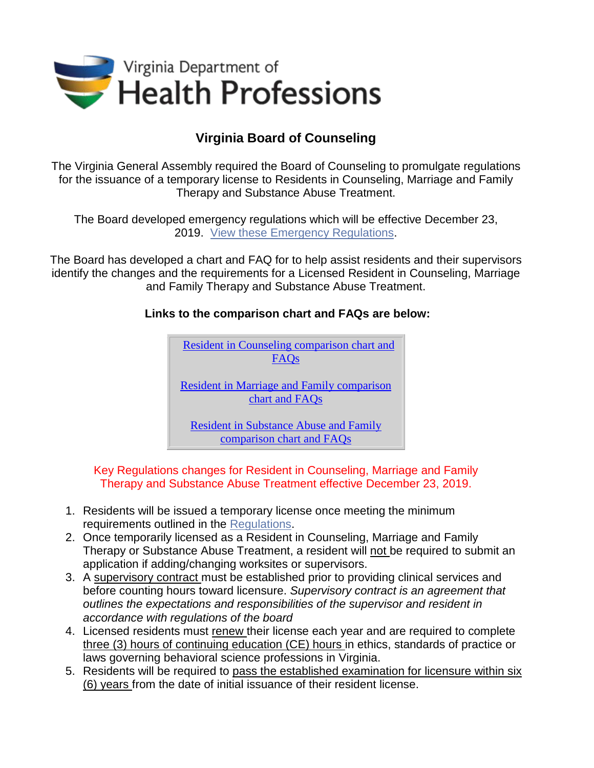

## **Virginia Board of Counseling**

The Virginia General Assembly required the Board of Counseling to promulgate regulations for the issuance of a temporary license to Residents in Counseling, Marriage and Family Therapy and Substance Abuse Treatment.

The Board developed emergency regulations which will be effective December 23, 2019. View [these Emergency Regulations.](https://www.dhp.virginia.gov/counseling/leg/EmergencyRegs_Resident_License.docx)

The Board has developed a chart and FAQ for to help assist residents and their supervisors identify the changes and the requirements for a Licensed Resident in Counseling, Marriage and Family Therapy and Substance Abuse Treatment.

## **Links to the comparison chart and FAQs are below:**



Key Regulations changes for Resident in Counseling, Marriage and Family Therapy and Substance Abuse Treatment effective December 23, 2019.

- 1. Residents will be issued a temporary license once meeting the minimum requirements outlined in the [Regulations.](https://www.dhp.virginia.gov/counseling/counseling_laws_regs.htm)
- 2. Once temporarily licensed as a Resident in Counseling, Marriage and Family Therapy or Substance Abuse Treatment, a resident will not be required to submit an application if adding/changing worksites or supervisors.
- 3. A supervisory contract must be established prior to providing clinical services and before counting hours toward licensure. *Supervisory contract is an agreement that outlines the expectations and responsibilities of the supervisor and resident in accordance with regulations of the board*
- 4. Licensed residents must renew their license each year and are required to complete three (3) hours of continuing education (CE) hours in ethics, standards of practice or laws governing behavioral science professions in Virginia.
- 5. Residents will be required to pass the established examination for licensure within six (6) years from the date of initial issuance of their resident license.